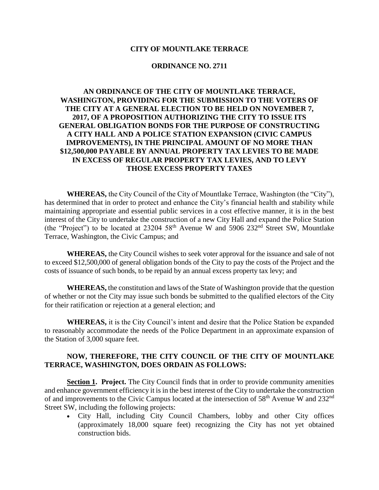#### **CITY OF MOUNTLAKE TERRACE**

#### **ORDINANCE NO. 2711**

# **AN ORDINANCE OF THE CITY OF MOUNTLAKE TERRACE, WASHINGTON, PROVIDING FOR THE SUBMISSION TO THE VOTERS OF THE CITY AT A GENERAL ELECTION TO BE HELD ON NOVEMBER 7, 2017, OF A PROPOSITION AUTHORIZING THE CITY TO ISSUE ITS GENERAL OBLIGATION BONDS FOR THE PURPOSE OF CONSTRUCTING A CITY HALL AND A POLICE STATION EXPANSION (CIVIC CAMPUS IMPROVEMENTS), IN THE PRINCIPAL AMOUNT OF NO MORE THAN \$12,500,000 PAYABLE BY ANNUAL PROPERTY TAX LEVIES TO BE MADE IN EXCESS OF REGULAR PROPERTY TAX LEVIES, AND TO LEVY THOSE EXCESS PROPERTY TAXES**

**WHEREAS,** the City Council of the City of Mountlake Terrace, Washington (the "City"), has determined that in order to protect and enhance the City's financial health and stability while maintaining appropriate and essential public services in a cost effective manner, it is in the best interest of the City to undertake the construction of a new City Hall and expand the Police Station (the "Project") to be located at  $23204\,58^{th}$  Avenue W and  $5906\,232^{nd}$  Street SW, Mountlake Terrace, Washington, the Civic Campus; and

**WHEREAS,** the City Council wishes to seek voter approval for the issuance and sale of not to exceed \$12,500,000 of general obligation bonds of the City to pay the costs of the Project and the costs of issuance of such bonds, to be repaid by an annual excess property tax levy; and

**WHEREAS,** the constitution and laws of the State of Washington provide that the question of whether or not the City may issue such bonds be submitted to the qualified electors of the City for their ratification or rejection at a general election; and

**WHEREAS,** it is the City Council's intent and desire that the Police Station be expanded to reasonably accommodate the needs of the Police Department in an approximate expansion of the Station of 3,000 square feet.

## **NOW, THEREFORE, THE CITY COUNCIL OF THE CITY OF MOUNTLAKE TERRACE, WASHINGTON, DOES ORDAIN AS FOLLOWS:**

**Section 1. Project.** The City Council finds that in order to provide community amenities and enhance government efficiency it is in the best interest of the City to undertake the construction of and improvements to the Civic Campus located at the intersection of 58<sup>th</sup> Avenue W and 232<sup>nd</sup> Street SW, including the following projects:

 City Hall, including City Council Chambers, lobby and other City offices (approximately 18,000 square feet) recognizing the City has not yet obtained construction bids.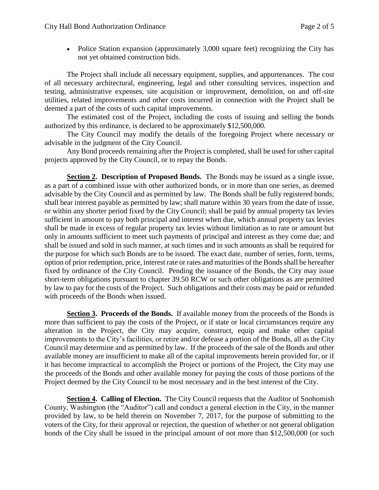• Police Station expansion (approximately 3,000 square feet) recognizing the City has not yet obtained construction bids.

The Project shall include all necessary equipment, supplies, and appurtenances. The cost of all necessary architectural, engineering, legal and other consulting services, inspection and testing, administrative expenses, site acquisition or improvement, demolition, on and off-site utilities, related improvements and other costs incurred in connection with the Project shall be deemed a part of the costs of such capital improvements.

The estimated cost of the Project, including the costs of issuing and selling the bonds authorized by this ordinance, is declared to be approximately \$12,500,000.

The City Council may modify the details of the foregoing Project where necessary or advisable in the judgment of the City Council.

Any Bond proceeds remaining after the Project is completed, shall be used for other capital projects approved by the City Council, or to repay the Bonds.

**Section 2. Description of Proposed Bonds.** The Bonds may be issued as a single issue, as a part of a combined issue with other authorized bonds, or in more than one series, as deemed advisable by the City Council and as permitted by law. The Bonds shall be fully registered bonds; shall bear interest payable as permitted by law; shall mature within 30 years from the date of issue, or within any shorter period fixed by the City Council; shall be paid by annual property tax levies sufficient in amount to pay both principal and interest when due, which annual property tax levies shall be made in excess of regular property tax levies without limitation as to rate or amount but only in amounts sufficient to meet such payments of principal and interest as they come due; and shall be issued and sold in such manner, at such times and in such amounts as shall be required for the purpose for which such Bonds are to be issued. The exact date, number of series, form, terms, option of prior redemption, price, interest rate or rates and maturities of the Bonds shall be hereafter fixed by ordinance of the City Council. Pending the issuance of the Bonds, the City may issue short-term obligations pursuant to chapter 39.50 RCW or such other obligations as are permitted by law to pay for the costs of the Project. Such obligations and their costs may be paid or refunded with proceeds of the Bonds when issued.

**Section 3. Proceeds of the Bonds.** If available money from the proceeds of the Bonds is more than sufficient to pay the costs of the Project, or if state or local circumstances require any alteration in the Project, the City may acquire, construct, equip and make other capital improvements to the City's facilities, or retire and/or defease a portion of the Bonds, all as the City Council may determine and as permitted by law. If the proceeds of the sale of the Bonds and other available money are insufficient to make all of the capital improvements herein provided for, or if it has become impractical to accomplish the Project or portions of the Project, the City may use the proceeds of the Bonds and other available money for paying the costs of those portions of the Project deemed by the City Council to be most necessary and in the best interest of the City.

**Section 4. Calling of Election.** The City Council requests that the Auditor of Snohomish County, Washington (the "Auditor") call and conduct a general election in the City, in the manner provided by law, to be held therein on November 7, 2017, for the purpose of submitting to the voters of the City, for their approval or rejection, the question of whether or not general obligation bonds of the City shall be issued in the principal amount of not more than \$12,500,000 (or such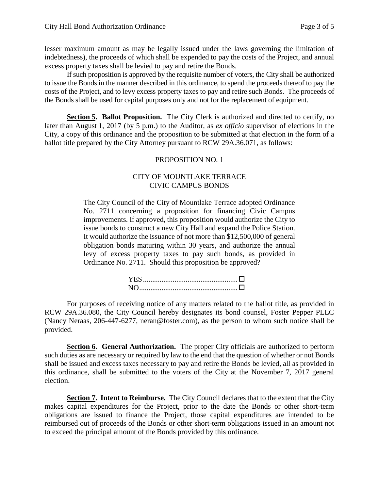lesser maximum amount as may be legally issued under the laws governing the limitation of indebtedness), the proceeds of which shall be expended to pay the costs of the Project, and annual excess property taxes shall be levied to pay and retire the Bonds.

If such proposition is approved by the requisite number of voters, the City shall be authorized to issue the Bonds in the manner described in this ordinance, to spend the proceeds thereof to pay the costs of the Project, and to levy excess property taxes to pay and retire such Bonds. The proceeds of the Bonds shall be used for capital purposes only and not for the replacement of equipment.

**Section 5. Ballot Proposition.** The City Clerk is authorized and directed to certify, no later than August 1, 2017 (by 5 p.m.) to the Auditor, as *ex officio* supervisor of elections in the City, a copy of this ordinance and the proposition to be submitted at that election in the form of a ballot title prepared by the City Attorney pursuant to RCW 29A.36.071, as follows:

## PROPOSITION NO. 1

## CITY OF MOUNTLAKE TERRACE CIVIC CAMPUS BONDS

The City Council of the City of Mountlake Terrace adopted Ordinance No. 2711 concerning a proposition for financing Civic Campus improvements. If approved, this proposition would authorize the City to issue bonds to construct a new City Hall and expand the Police Station. It would authorize the issuance of not more than \$12,500,000 of general obligation bonds maturing within 30 years, and authorize the annual levy of excess property taxes to pay such bonds, as provided in Ordinance No. 2711. Should this proposition be approved?

For purposes of receiving notice of any matters related to the ballot title, as provided in RCW 29A.36.080, the City Council hereby designates its bond counsel, Foster Pepper PLLC (Nancy Neraas, 206-447-6277, neran@foster.com), as the person to whom such notice shall be provided.

**Section 6. General Authorization.** The proper City officials are authorized to perform such duties as are necessary or required by law to the end that the question of whether or not Bonds shall be issued and excess taxes necessary to pay and retire the Bonds be levied, all as provided in this ordinance, shall be submitted to the voters of the City at the November 7, 2017 general election.

**Section 7. Intent to Reimburse.** The City Council declares that to the extent that the City makes capital expenditures for the Project, prior to the date the Bonds or other short-term obligations are issued to finance the Project, those capital expenditures are intended to be reimbursed out of proceeds of the Bonds or other short-term obligations issued in an amount not to exceed the principal amount of the Bonds provided by this ordinance.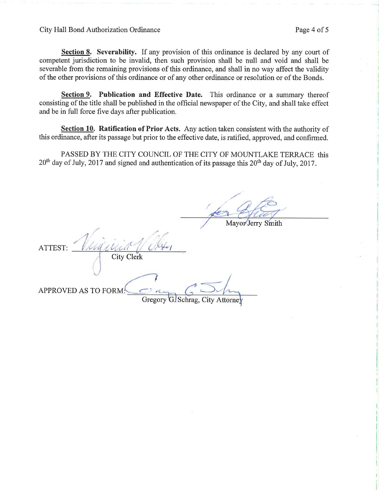Section 8. Severability. If any provision of this ordinance is declared by any court of competent jurisdiction to be invalid, then such provision shall be null and void and shall be severable from the remaining provisions of this ordinance, and shall in no way affect the validity of the other provisions of this ordinance or of any other ordinance or resolution or of the Bonds.

Section 9. Publication and Effective Date. This ordinance or a summary thereof consisting of the title shall be published in the official newspaper of the City, and shall take effect and be in full force five days after publication.

Section 10. Ratification of Prior Acts. Any action taken consistent with the authority of this ordinance, after its passage but prior to the effective date, is ratified, approved, and confirmed.

PASSED BY THE CITY COUNCIL OF THE CITY OF MOUNTLAKE TERRACE this  $20<sup>th</sup>$  day of July, 2017 and signed and authentication of its passage this  $20<sup>th</sup>$  day of July, 2017.

Mayor Jerry Smith ATTEST: **City Clerk** APPROVED AS TO FORM G. Schrag, City Attorne Gregory